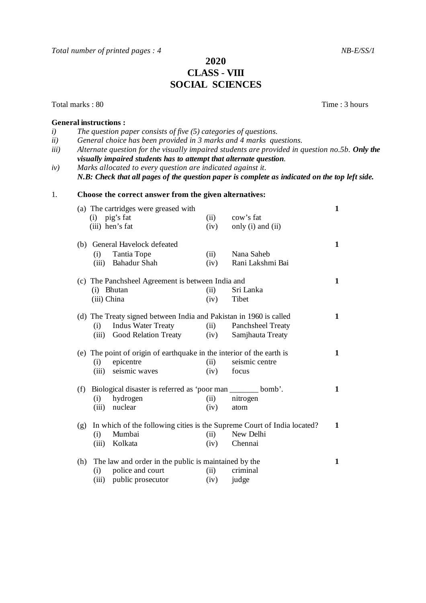*Total number of printed pages : 4* NB-E/SS/1

## **2020 CLASS** - **VIII SOCIAL SCIENCES**

Total marks : 80 Time : 3 hours

## **General instructions :**

*i) The question paper consists of five (5) categories of questions. ii) General choice has been provided in 3 marks and 4 marks questions. iii*) Alternate question for the visually impaired students are provided in question no.5b. Only the *visually impaired students has to attempt that alternate question. iv) Marks allocated to every question are indicated against it. N.B: Check that all pages of the question paper is complete as indicated on the top left side.* 1. **Choose the correct answer from the given alternatives:**  (a) The cartridges were greased with **1** (i) pig's fat (ii) cow's fat (iii) hen's fat (iv) only (i) and  $(iv)$  only  $(i)$  and  $(ii)$ (b) General Havelock defeated **1** (i) Tantia Tope (ii) Nana Saheb<br>
(iii) Bahadur Shah (iv) Rani Lakshmi Bai (iii) Bahadur Shah  $(iv)$ (c) The Panchsheel Agreement is between India and **1** (i) Bhutan (ii) Sri Lanka (iii) China (iv) Tibet (d) The Treaty signed between India and Pakistan in 1960 is called **1** (i) Indus Water Treaty (ii) Panchsheel Treaty (iii) Good Relation Treaty (iv) Samjhauta Treaty (e) The point of origin of earthquake in the interior of the earth is **1** (i) epicentre (ii) seismic centre (iii) seismic waves (iv) focus (f) Biological disaster is referred as 'poor man \_\_\_\_\_\_\_ bomb'. **1** (i) hydrogen (ii) nitrogen (iii) nuclear (iv) atom (g) In which of the following cities is the Supreme Court of India located? **1** (i) Mumbai (ii) New Delhi<br>
(iii) Kolkata (iv) Chennai (iii) Kolkata (h) The law and order in the public is maintained by the **1** (i) police and court (ii) criminal (iii) public prosecutor (iv) judge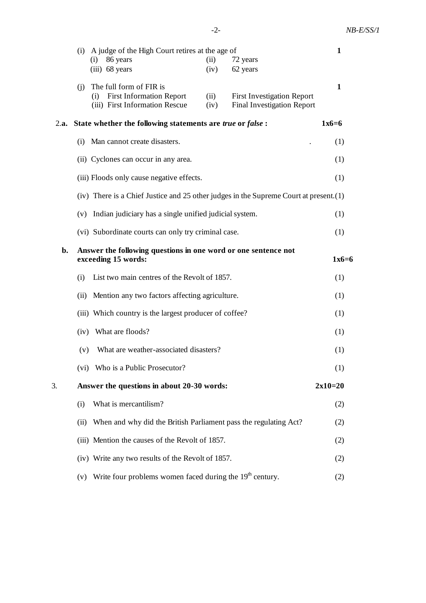|    |      | (i)<br>86 years                                                 | (i) A judge of the High Court retires at the age of                                             | (ii)         | 72 years                                                                              | 1         |
|----|------|-----------------------------------------------------------------|-------------------------------------------------------------------------------------------------|--------------|---------------------------------------------------------------------------------------|-----------|
|    |      | $(iii)$ 68 years                                                |                                                                                                 | (iv)         | 62 years                                                                              |           |
|    |      |                                                                 | $(i)$ The full form of FIR is<br>(i) First Information Report<br>(iii) First Information Rescue | (ii)<br>(iv) | <b>First Investigation Report</b><br><b>Final Investigation Report</b>                | 1         |
|    |      | 2.a. State whether the following statements are true or false : |                                                                                                 |              |                                                                                       |           |
|    | (i)  | Man cannot create disasters.                                    |                                                                                                 |              |                                                                                       |           |
|    |      | (ii) Cyclones can occur in any area.                            |                                                                                                 |              |                                                                                       |           |
|    |      |                                                                 | (iii) Floods only cause negative effects.                                                       |              |                                                                                       | (1)       |
|    |      |                                                                 |                                                                                                 |              | (iv) There is a Chief Justice and 25 other judges in the Supreme Court at present.(1) |           |
|    |      |                                                                 | (v) Indian judiciary has a single unified judicial system.                                      |              |                                                                                       | (1)       |
|    |      |                                                                 | (vi) Subordinate courts can only try criminal case.                                             |              |                                                                                       | (1)       |
| b. |      | exceeding 15 words:                                             |                                                                                                 |              | Answer the following questions in one word or one sentence not                        | $1x6=6$   |
|    | (i)  | List two main centres of the Revolt of 1857.                    |                                                                                                 |              |                                                                                       | (1)       |
|    | (ii) | Mention any two factors affecting agriculture.                  |                                                                                                 |              |                                                                                       |           |
|    |      |                                                                 | (iii) Which country is the largest producer of coffee?                                          |              |                                                                                       | (1)       |
|    |      | (iv) What are floods?                                           |                                                                                                 |              |                                                                                       | (1)       |
|    | (v)  |                                                                 | What are weather-associated disasters?                                                          |              |                                                                                       | (1)       |
|    |      |                                                                 | (vi) Who is a Public Prosecutor?                                                                |              |                                                                                       | (1)       |
| 3. |      |                                                                 | Answer the questions in about 20-30 words:                                                      |              |                                                                                       | $2x10=20$ |
|    | (i)  |                                                                 | What is mercantilism?                                                                           |              |                                                                                       | (2)       |
|    | (ii) |                                                                 |                                                                                                 |              | When and why did the British Parliament pass the regulating Act?                      | (2)       |
|    |      |                                                                 | (iii) Mention the causes of the Revolt of 1857.                                                 |              |                                                                                       | (2)       |
|    |      |                                                                 | (iv) Write any two results of the Revolt of 1857.                                               |              |                                                                                       | (2)       |
|    | (v)  |                                                                 | Write four problems women faced during the 19 <sup>th</sup> century.                            |              |                                                                                       | (2)       |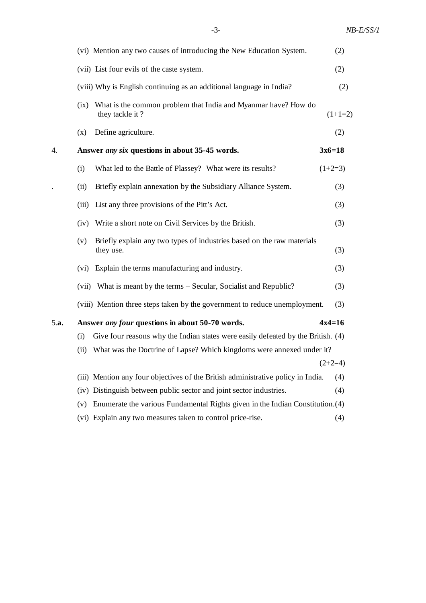|      |       | (vi) Mention any two causes of introducing the New Education System.                | (2)       |
|------|-------|-------------------------------------------------------------------------------------|-----------|
|      |       | (vii) List four evils of the caste system.                                          | (2)       |
|      |       | (viii) Why is English continuing as an additional language in India?                | (2)       |
|      | (ix)  | What is the common problem that India and Myanmar have? How do<br>they tackle it?   | $(1+1=2)$ |
|      | (x)   | Define agriculture.                                                                 | (2)       |
| 4.   |       | Answer <i>any six</i> questions in about 35-45 words.                               | $3x6=18$  |
|      | (i)   | What led to the Battle of Plassey? What were its results?                           | $(1+2=3)$ |
|      | (ii)  | Briefly explain annexation by the Subsidiary Alliance System.                       | (3)       |
|      | (iii) | List any three provisions of the Pitt's Act.                                        | (3)       |
|      |       | (iv) Write a short note on Civil Services by the British.                           | (3)       |
|      | (v)   | Briefly explain any two types of industries based on the raw materials<br>they use. | (3)       |
|      | (vi)  | Explain the terms manufacturing and industry.                                       | (3)       |
|      |       | (vii) What is meant by the terms – Secular, Socialist and Republic?                 | (3)       |
|      |       | (viii) Mention three steps taken by the government to reduce unemployment.          | (3)       |
| 5.a. |       | Answer <i>any four</i> questions in about 50-70 words.                              | $4x4=16$  |
|      | (i)   | Give four reasons why the Indian states were easily defeated by the British. (4)    |           |
|      | (ii)  | What was the Doctrine of Lapse? Which kingdoms were annexed under it?               |           |
|      |       |                                                                                     | $(2+2=4)$ |
|      |       | (iii) Mention any four objectives of the British administrative policy in India.    | (4)       |
|      |       | (iv) Distinguish between public sector and joint sector industries.                 | (4)       |
|      | (v)   | Enumerate the various Fundamental Rights given in the Indian Constitution. (4)      |           |
|      |       | (vi) Explain any two measures taken to control price-rise.                          | (4)       |